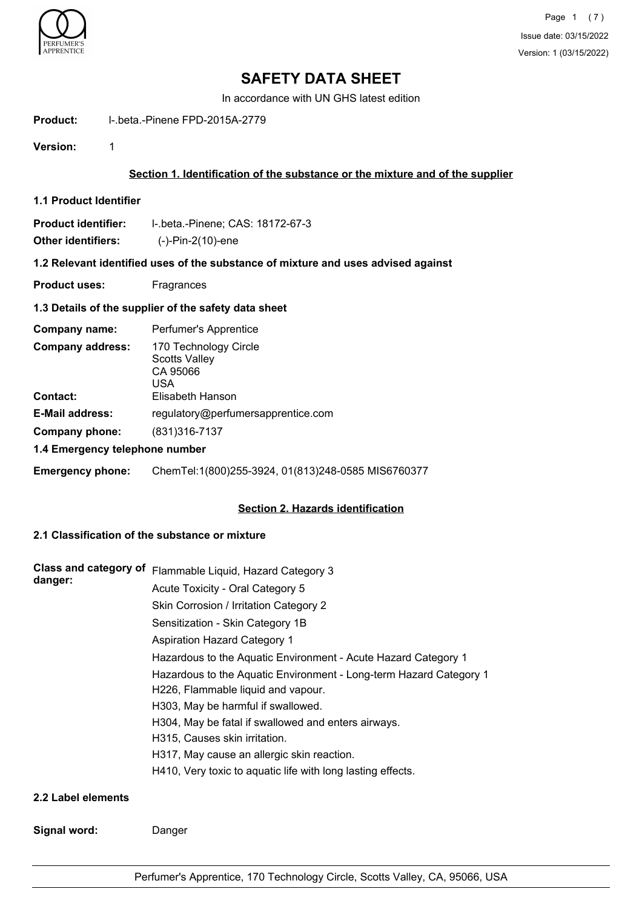

In accordance with UN GHS latest edition

**Product:** l-.beta.-Pinene FPD-2015A-2779

**Version:** 1

## **Section 1. Identification of the substance or the mixture and of the supplier**

**1.1 Product Identifier**

| <b>Product identifier:</b> | I-.beta.-Pinene; CAS: 18172-67-3 |
|----------------------------|----------------------------------|
| Other identifiers:         | $(-)$ -Pin-2 $(10)$ -ene         |

### **1.2 Relevant identified uses of the substance of mixture and uses advised against**

**Product uses:** Fragrances

### **1.3 Details of the supplier of the safety data sheet**

| Company name:                  | Perfumer's Apprentice                                            |
|--------------------------------|------------------------------------------------------------------|
| <b>Company address:</b>        | 170 Technology Circle<br><b>Scotts Valley</b><br>CA 95066<br>USA |
| <b>Contact:</b>                | Elisabeth Hanson                                                 |
| <b>E-Mail address:</b>         | regulatory@perfumersapprentice.com                               |
| Company phone:                 | $(831)316 - 7137$                                                |
| 1.4 Emergency telephone number |                                                                  |

**Emergency phone:** ChemTel:1(800)255-3924, 01(813)248-0585 MIS6760377

### **Section 2. Hazards identification**

## **2.1 Classification of the substance or mixture**

| Class and category of | Flammable Liquid, Hazard Category 3                                |
|-----------------------|--------------------------------------------------------------------|
| danger:               | Acute Toxicity - Oral Category 5                                   |
|                       | Skin Corrosion / Irritation Category 2                             |
|                       | Sensitization - Skin Category 1B                                   |
|                       | <b>Aspiration Hazard Category 1</b>                                |
|                       | Hazardous to the Aquatic Environment - Acute Hazard Category 1     |
|                       | Hazardous to the Aquatic Environment - Long-term Hazard Category 1 |
|                       | H226, Flammable liquid and vapour.                                 |
|                       | H303, May be harmful if swallowed.                                 |
|                       | H304, May be fatal if swallowed and enters airways.                |
|                       | H315, Causes skin irritation.                                      |
|                       | H317, May cause an allergic skin reaction.                         |
|                       | H410, Very toxic to aquatic life with long lasting effects.        |
| 2.2 Label elements    |                                                                    |
| Signal word:          | Danger                                                             |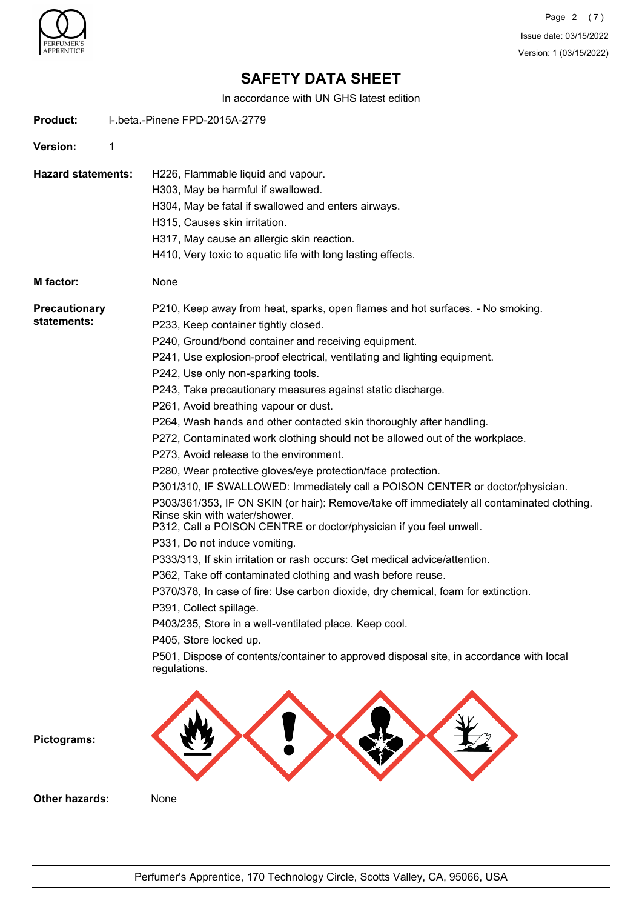

Page 2 (7) Issue date: 03/15/2022 Version: 1 (03/15/2022)

# **SAFETY DATA SHEET**

In accordance with UN GHS latest edition

| <b>Product:</b>                     | I-.beta.-Pinene FPD-2015A-2779                                                                                                                                                                                                                                                                                                                                                                                                                                                                                                                                                                                                                                                                                                                                                                                                                                                                                                                                                                                                                                                                                                                                                                                                                                                                                                                                                                                                                                  |
|-------------------------------------|-----------------------------------------------------------------------------------------------------------------------------------------------------------------------------------------------------------------------------------------------------------------------------------------------------------------------------------------------------------------------------------------------------------------------------------------------------------------------------------------------------------------------------------------------------------------------------------------------------------------------------------------------------------------------------------------------------------------------------------------------------------------------------------------------------------------------------------------------------------------------------------------------------------------------------------------------------------------------------------------------------------------------------------------------------------------------------------------------------------------------------------------------------------------------------------------------------------------------------------------------------------------------------------------------------------------------------------------------------------------------------------------------------------------------------------------------------------------|
| Version:                            | 1                                                                                                                                                                                                                                                                                                                                                                                                                                                                                                                                                                                                                                                                                                                                                                                                                                                                                                                                                                                                                                                                                                                                                                                                                                                                                                                                                                                                                                                               |
| <b>Hazard statements:</b>           | H226, Flammable liquid and vapour.<br>H303, May be harmful if swallowed.<br>H304, May be fatal if swallowed and enters airways.<br>H315, Causes skin irritation.<br>H317, May cause an allergic skin reaction.<br>H410, Very toxic to aquatic life with long lasting effects.                                                                                                                                                                                                                                                                                                                                                                                                                                                                                                                                                                                                                                                                                                                                                                                                                                                                                                                                                                                                                                                                                                                                                                                   |
| M factor:                           | None                                                                                                                                                                                                                                                                                                                                                                                                                                                                                                                                                                                                                                                                                                                                                                                                                                                                                                                                                                                                                                                                                                                                                                                                                                                                                                                                                                                                                                                            |
| <b>Precautionary</b><br>statements: | P210, Keep away from heat, sparks, open flames and hot surfaces. - No smoking.<br>P233, Keep container tightly closed.<br>P240, Ground/bond container and receiving equipment.<br>P241, Use explosion-proof electrical, ventilating and lighting equipment.<br>P242, Use only non-sparking tools.<br>P243, Take precautionary measures against static discharge.<br>P261, Avoid breathing vapour or dust.<br>P264, Wash hands and other contacted skin thoroughly after handling.<br>P272, Contaminated work clothing should not be allowed out of the workplace.<br>P273, Avoid release to the environment.<br>P280, Wear protective gloves/eye protection/face protection.<br>P301/310, IF SWALLOWED: Immediately call a POISON CENTER or doctor/physician.<br>P303/361/353, IF ON SKIN (or hair): Remove/take off immediately all contaminated clothing.<br>Rinse skin with water/shower.<br>P312, Call a POISON CENTRE or doctor/physician if you feel unwell.<br>P331, Do not induce vomiting.<br>P333/313, If skin irritation or rash occurs: Get medical advice/attention.<br>P362, Take off contaminated clothing and wash before reuse.<br>P370/378, In case of fire: Use carbon dioxide, dry chemical, foam for extinction.<br>P391, Collect spillage.<br>P403/235, Store in a well-ventilated place. Keep cool.<br>P405, Store locked up.<br>P501, Dispose of contents/container to approved disposal site, in accordance with local<br>regulations. |
| Pictograms:                         |                                                                                                                                                                                                                                                                                                                                                                                                                                                                                                                                                                                                                                                                                                                                                                                                                                                                                                                                                                                                                                                                                                                                                                                                                                                                                                                                                                                                                                                                 |
| <b>Other hazards:</b>               | None                                                                                                                                                                                                                                                                                                                                                                                                                                                                                                                                                                                                                                                                                                                                                                                                                                                                                                                                                                                                                                                                                                                                                                                                                                                                                                                                                                                                                                                            |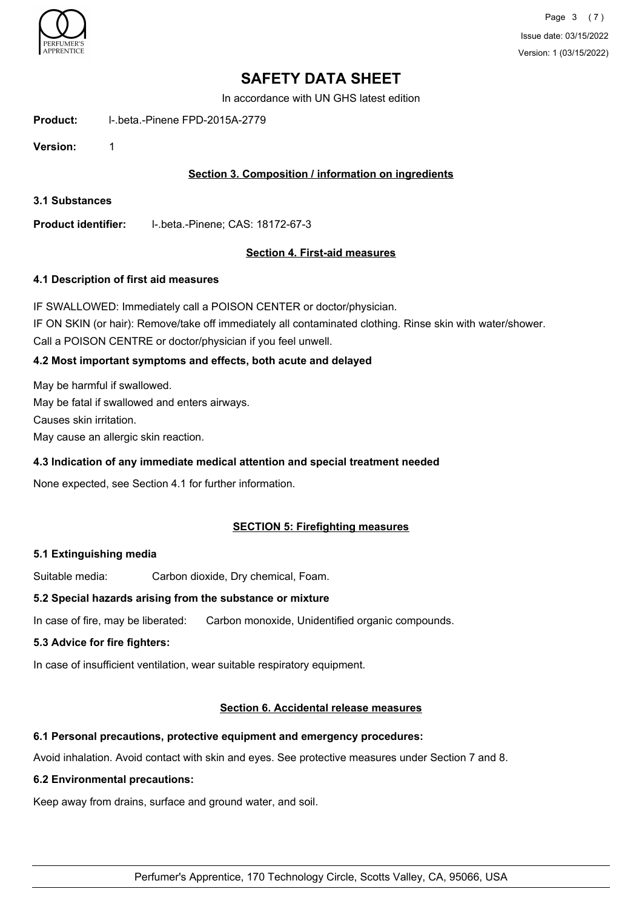

In accordance with UN GHS latest edition

**Product:** l-.beta.-Pinene FPD-2015A-2779

**Version:** 1

## **Section 3. Composition / information on ingredients**

**3.1 Substances**

**Product identifier:** l-.beta.-Pinene; CAS: 18172-67-3

## **Section 4. First-aid measures**

#### **4.1 Description of first aid measures**

IF SWALLOWED: Immediately call a POISON CENTER or doctor/physician. IF ON SKIN (or hair): Remove/take off immediately all contaminated clothing. Rinse skin with water/shower. Call a POISON CENTRE or doctor/physician if you feel unwell.

## **4.2 Most important symptoms and effects, both acute and delayed**

May be harmful if swallowed. May be fatal if swallowed and enters airways. Causes skin irritation. May cause an allergic skin reaction.

### **4.3 Indication of any immediate medical attention and special treatment needed**

None expected, see Section 4.1 for further information.

### **SECTION 5: Firefighting measures**

### **5.1 Extinguishing media**

Suitable media: Carbon dioxide, Dry chemical, Foam.

### **5.2 Special hazards arising from the substance or mixture**

In case of fire, may be liberated: Carbon monoxide, Unidentified organic compounds.

### **5.3 Advice for fire fighters:**

In case of insufficient ventilation, wear suitable respiratory equipment.

### **Section 6. Accidental release measures**

### **6.1 Personal precautions, protective equipment and emergency procedures:**

Avoid inhalation. Avoid contact with skin and eyes. See protective measures under Section 7 and 8.

### **6.2 Environmental precautions:**

Keep away from drains, surface and ground water, and soil.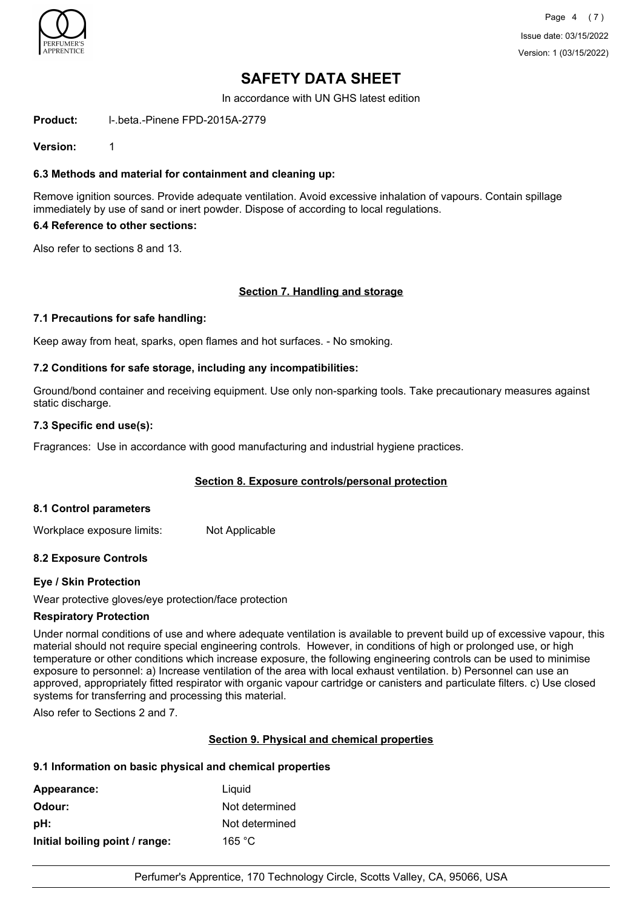

In accordance with UN GHS latest edition

**Product:** l-.beta.-Pinene FPD-2015A-2779

**Version:** 1

### **6.3 Methods and material for containment and cleaning up:**

Remove ignition sources. Provide adequate ventilation. Avoid excessive inhalation of vapours. Contain spillage immediately by use of sand or inert powder. Dispose of according to local regulations.

### **6.4 Reference to other sections:**

Also refer to sections 8 and 13.

### **Section 7. Handling and storage**

### **7.1 Precautions for safe handling:**

Keep away from heat, sparks, open flames and hot surfaces. - No smoking.

### **7.2 Conditions for safe storage, including any incompatibilities:**

Ground/bond container and receiving equipment. Use only non-sparking tools. Take precautionary measures against static discharge.

#### **7.3 Specific end use(s):**

Fragrances: Use in accordance with good manufacturing and industrial hygiene practices.

### **Section 8. Exposure controls/personal protection**

### **8.1 Control parameters**

Workplace exposure limits: Not Applicable

## **8.2 Exposure Controls**

### **Eye / Skin Protection**

Wear protective gloves/eye protection/face protection

### **Respiratory Protection**

Under normal conditions of use and where adequate ventilation is available to prevent build up of excessive vapour, this material should not require special engineering controls. However, in conditions of high or prolonged use, or high temperature or other conditions which increase exposure, the following engineering controls can be used to minimise exposure to personnel: a) Increase ventilation of the area with local exhaust ventilation. b) Personnel can use an approved, appropriately fitted respirator with organic vapour cartridge or canisters and particulate filters. c) Use closed systems for transferring and processing this material.

Also refer to Sections 2 and 7.

### **Section 9. Physical and chemical properties**

### **9.1 Information on basic physical and chemical properties**

| Appearance:                    | Liquid         |
|--------------------------------|----------------|
| Odour:                         | Not determined |
| pH:                            | Not determined |
| Initial boiling point / range: | 165 °C         |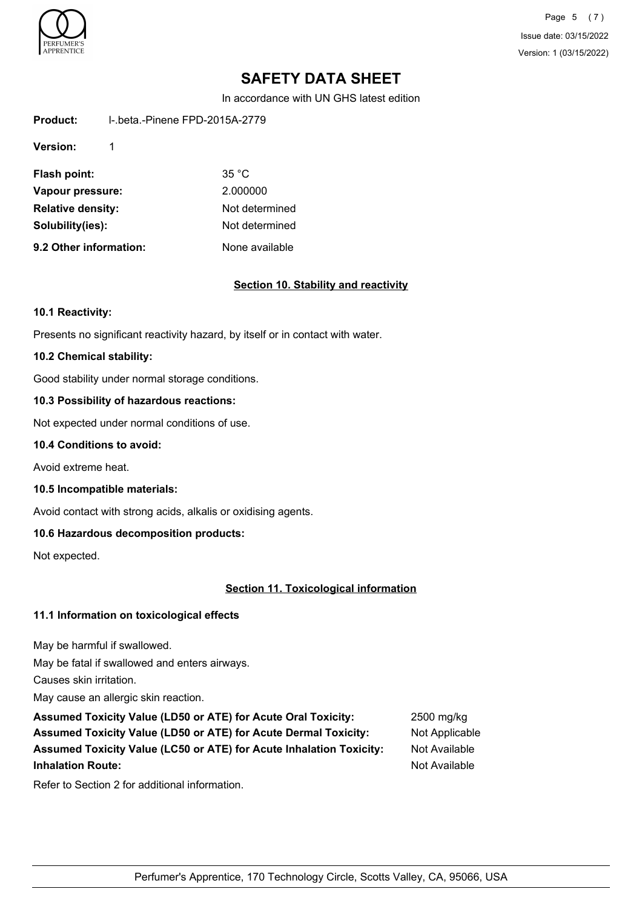

Page 5 (7) Issue date: 03/15/2022 Version: 1 (03/15/2022)

# **SAFETY DATA SHEET**

In accordance with UN GHS latest edition

| Product: | I-.beta.-Pinene FPD-2015A-2779 |
|----------|--------------------------------|
|          |                                |

**Version:** 1

| Flash point:             | 35 °C          |
|--------------------------|----------------|
| Vapour pressure:         | 2.000000       |
| <b>Relative density:</b> | Not determined |
| Solubility(ies):         | Not determined |
| 9.2 Other information:   | None available |

### **Section 10. Stability and reactivity**

#### **10.1 Reactivity:**

Presents no significant reactivity hazard, by itself or in contact with water.

#### **10.2 Chemical stability:**

Good stability under normal storage conditions.

### **10.3 Possibility of hazardous reactions:**

Not expected under normal conditions of use.

#### **10.4 Conditions to avoid:**

Avoid extreme heat.

**10.5 Incompatible materials:**

Avoid contact with strong acids, alkalis or oxidising agents.

### **10.6 Hazardous decomposition products:**

Not expected.

## **Section 11. Toxicological information**

### **11.1 Information on toxicological effects**

May be harmful if swallowed.

May be fatal if swallowed and enters airways.

Causes skin irritation.

May cause an allergic skin reaction.

**Assumed Toxicity Value (LD50 or ATE) for Acute Oral Toxicity:** 2500 mg/kg Assumed Toxicity Value (LD50 or ATE) for Acute Dermal Toxicity: Not Applicable **Assumed Toxicity Value (LC50 or ATE) for Acute Inhalation Toxicity:** Not Available **Inhalation Route:** Not Available

Refer to Section 2 for additional information.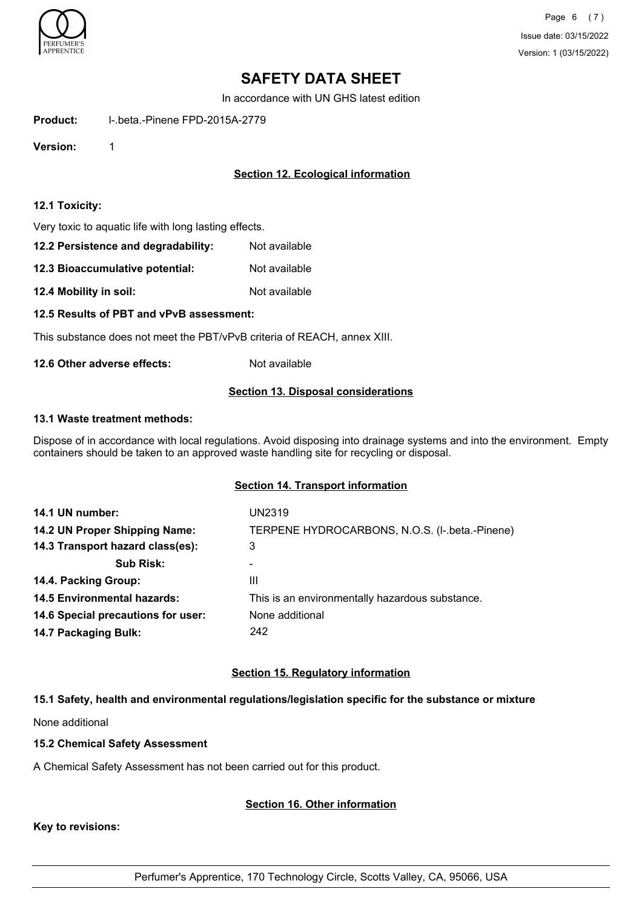

In accordance with UN GHS latest edition

**Product:** l-.beta.-Pinene FPD-2015A-2779

**Version:** 1

## **Section 12. Ecological information**

#### **12.1 Toxicity:**

Very toxic to aquatic life with long lasting effects.

| 12.2 Persistence and degradability: | Not available |
|-------------------------------------|---------------|
|-------------------------------------|---------------|

**12.3 Bioaccumulative potential:** Not available

**12.4 Mobility in soil:** Not available

**12.5 Results of PBT and vPvB assessment:**

This substance does not meet the PBT/vPvB criteria of REACH, annex XIII.

**12.6 Other adverse effects:** Not available

#### **Section 13. Disposal considerations**

#### **13.1 Waste treatment methods:**

Dispose of in accordance with local regulations. Avoid disposing into drainage systems and into the environment. Empty containers should be taken to an approved waste handling site for recycling or disposal.

### **Section 14. Transport information**

| 14.1 UN number:                    | UN2319                                          |
|------------------------------------|-------------------------------------------------|
| 14.2 UN Proper Shipping Name:      | TERPENE HYDROCARBONS, N.O.S. (I-.beta.-Pinene)  |
| 14.3 Transport hazard class(es):   | 3                                               |
| <b>Sub Risk:</b>                   |                                                 |
| 14.4. Packing Group:               | Ш                                               |
| <b>14.5 Environmental hazards:</b> | This is an environmentally hazardous substance. |
| 14.6 Special precautions for user: | None additional                                 |
| 14.7 Packaging Bulk:               | 242                                             |

### **Section 15. Regulatory information**

### **15.1 Safety, health and environmental regulations/legislation specific for the substance or mixture**

None additional

#### **15.2 Chemical Safety Assessment**

A Chemical Safety Assessment has not been carried out for this product.

### **Section 16. Other information**

**Key to revisions:**